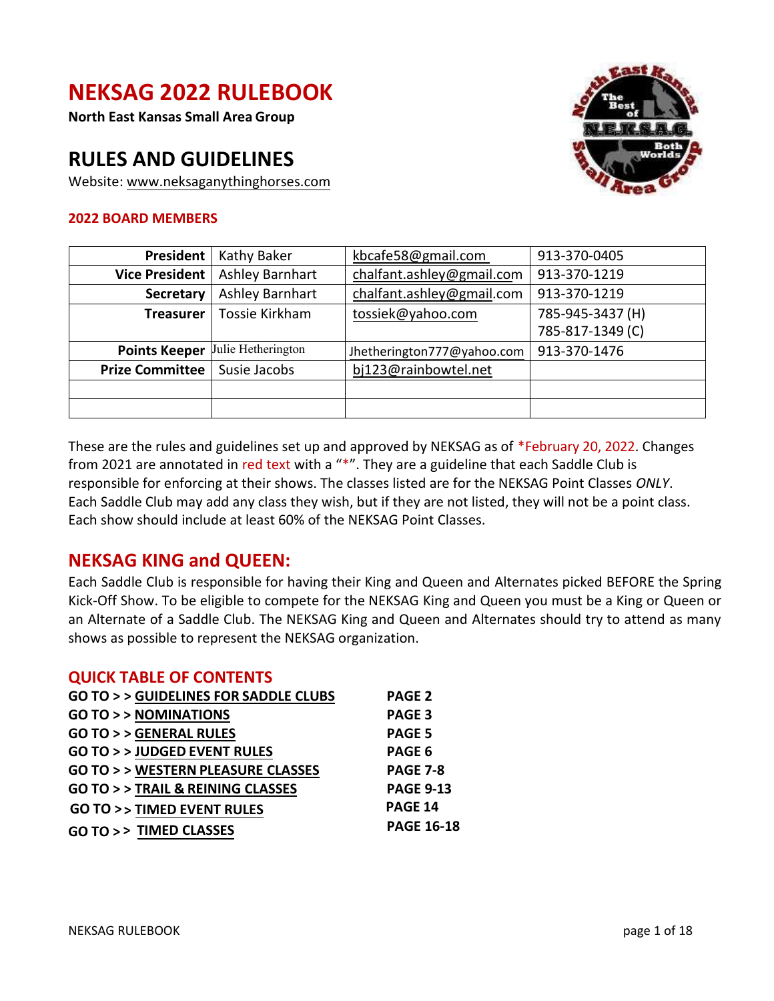# **NEKSAG 2022 RULEBOOK**

**North East Kansas Small Area Group** 

# **RULES AND GUIDELINES**

Website: [www.neksaganythinghorses.com](http://www.neksaganythinghorses.com/) 

#### **2022 BOARD MEMBERS**



| President              | Kathy Baker        | kbcafe58@gmail.com         | 913-370-0405                         |  |  |
|------------------------|--------------------|----------------------------|--------------------------------------|--|--|
| <b>Vice President</b>  | Ashley Barnhart    | chalfant.ashley@gmail.com  | 913-370-1219                         |  |  |
| <b>Secretary</b>       | Ashley Barnhart    | chalfant.ashley@gmail.com  | 913-370-1219                         |  |  |
| <b>Treasurer</b>       | Tossie Kirkham     | tossiek@yahoo.com          | 785-945-3437 (H)<br>785-817-1349 (C) |  |  |
|                        |                    |                            |                                      |  |  |
| <b>Points Keeper</b>   | Julie Hetherington | Jhetherington777@yahoo.com | 913-370-1476                         |  |  |
| <b>Prize Committee</b> | Susie Jacobs       | bj123@rainbowtel.net       |                                      |  |  |
|                        |                    |                            |                                      |  |  |
|                        |                    |                            |                                      |  |  |

These are the rules and guidelines set up and approved by NEKSAG as of \*February 20, 2022. Changes from 2021 are annotated in red text with a "\*". They are a guideline that each Saddle Club is responsible for enforcing at their shows. The classes listed are for the NEKSAG Point Classes *ONLY*. Each Saddle Club may add any class they wish, but if they are not listed, they will not be a point class. Each show should include at least 60% of the NEKSAG Point Classes.

## **NEKSAG KING and QUEEN:**

Each Saddle Club is responsible for having their King and Queen and Alternates picked BEFORE the Spring Kick-Off Show. To be eligible to compete for the NEKSAG King and Queen you must be a King or Queen or an Alternate of a Saddle Club. The NEKSAG King and Queen and Alternates should try to attend as many shows as possible to represent the NEKSAG organization.

#### **QUICK TABLE OF CONTENTS**

| <b>GO TO &gt; &gt; GUIDELINES FOR SADDLE CLUBS</b><br><b>PAGE 2</b><br><b>GO TO &gt; &gt; NOMINATIONS</b><br><b>PAGE 3</b><br><b>GO TO &gt; &gt; GENERAL RULES</b><br><b>PAGE 5</b><br><b>GO TO &gt; &gt; JUDGED EVENT RULES</b><br>PAGE 6<br><b>GO TO &gt; &gt; WESTERN PLEASURE CLASSES</b><br><b>GO TO &gt; &gt; TRAIL &amp; REINING CLASSES</b><br><b>PAGE 14</b><br><b>GO TO &gt;&gt; TIMED EVENT RULES</b> |                   |
|------------------------------------------------------------------------------------------------------------------------------------------------------------------------------------------------------------------------------------------------------------------------------------------------------------------------------------------------------------------------------------------------------------------|-------------------|
|                                                                                                                                                                                                                                                                                                                                                                                                                  |                   |
|                                                                                                                                                                                                                                                                                                                                                                                                                  |                   |
|                                                                                                                                                                                                                                                                                                                                                                                                                  |                   |
|                                                                                                                                                                                                                                                                                                                                                                                                                  |                   |
|                                                                                                                                                                                                                                                                                                                                                                                                                  | <b>PAGE 7-8</b>   |
|                                                                                                                                                                                                                                                                                                                                                                                                                  | <b>PAGE 9-13</b>  |
|                                                                                                                                                                                                                                                                                                                                                                                                                  |                   |
| GO TO >> TIMED CLASSES                                                                                                                                                                                                                                                                                                                                                                                           | <b>PAGE 16-18</b> |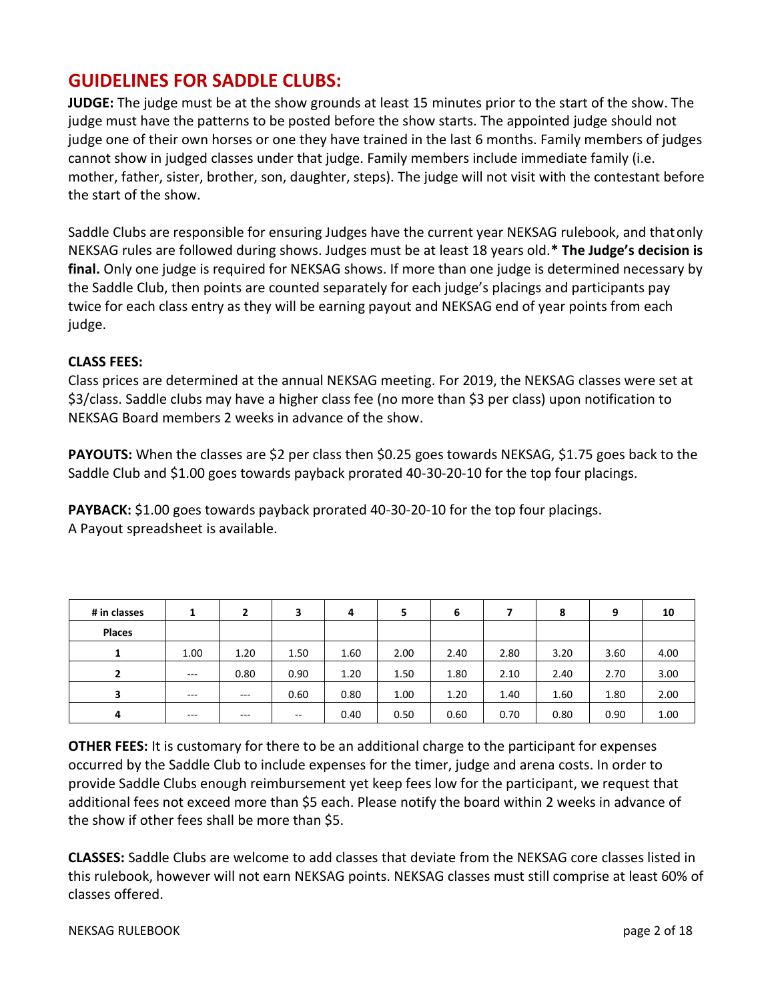## <span id="page-1-0"></span>**GUIDELINES FOR SADDLE CLUBS:**

**JUDGE:** The judge must be at the show grounds at least 15 minutes prior to the start of the show. The judge must have the patterns to be posted before the show starts. The appointed judge should not judge one of their own horses or one they have trained in the last 6 months. Family members of judges cannot show in judged classes under that judge. Family members include immediate family (i.e. mother, father, sister, brother, son, daughter, steps). The judge will not visit with the contestant before the start of the show.

Saddle Clubs are responsible for ensuring Judges have the current year NEKSAG rulebook, and thatonly NEKSAG rules are followed during shows. Judges must be at least 18 years old.**\* The Judge's decision is final.** Only one judge is required for NEKSAG shows. If more than one judge is determined necessary by the Saddle Club, then points are counted separately for each judge's placings and participants pay twice for each class entry as they will be earning payout and NEKSAG end of year points from each judge.

#### **CLASS FEES:**

Class prices are determined at the annual NEKSAG meeting. For 2019, the NEKSAG classes were set at \$3/class. Saddle clubs may have a higher class fee (no more than \$3 per class) upon notification to NEKSAG Board members 2 weeks in advance of the show.

**PAYOUTS:** When the classes are \$2 per class then \$0.25 goes towards NEKSAG, \$1.75 goes back to the Saddle Club and \$1.00 goes towards payback prorated 40-30-20-10 for the top four placings.

**PAYBACK:** \$1.00 goes towards payback prorated 40-30-20-10 for the top four placings. A Payout spreadsheet is available.

| # in classes   |       | 2       | 3     | 4    | 5    | 6    |      | 8    | 9    | 10   |
|----------------|-------|---------|-------|------|------|------|------|------|------|------|
| <b>Places</b>  |       |         |       |      |      |      |      |      |      |      |
| 1.<br>л.       | 1.00  | 1.20    | 1.50  | 1.60 | 2.00 | 2.40 | 2.80 | 3.20 | 3.60 | 4.00 |
| $\overline{2}$ | $---$ | 0.80    | 0.90  | 1.20 | 1.50 | 1.80 | 2.10 | 2.40 | 2.70 | 3.00 |
| 3              | $---$ | $---$   | 0.60  | 0.80 | 1.00 | 1.20 | 1.40 | 1.60 | 1.80 | 2.00 |
| 4              | $---$ | $- - -$ | $- -$ | 0.40 | 0.50 | 0.60 | 0.70 | 0.80 | 0.90 | 1.00 |

**OTHER FEES:** It is customary for there to be an additional charge to the participant for expenses occurred by the Saddle Club to include expenses for the timer, judge and arena costs. In order to provide Saddle Clubs enough reimbursement yet keep fees low for the participant, we request that additional fees not exceed more than \$5 each. Please notify the board within 2 weeks in advance of the show if other fees shall be more than \$5.

**CLASSES:** Saddle Clubs are welcome to add classes that deviate from the NEKSAG core classes listed in this rulebook, however will not earn NEKSAG points. NEKSAG classes must still comprise at least 60% of classes offered.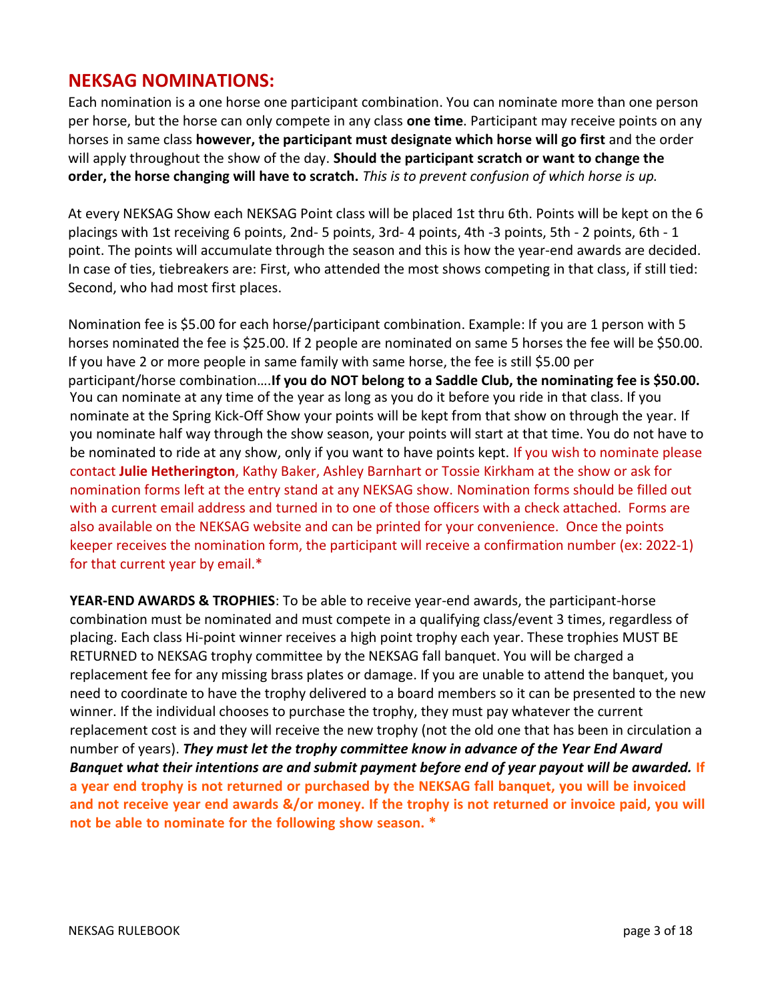## <span id="page-2-0"></span>**NEKSAG NOMINATIONS:**

Each nomination is a one horse one participant combination. You can nominate more than one person per horse, but the horse can only compete in any class **one time**. Participant may receive points on any horses in same class **however, the participant must designate which horse will go first** and the order will apply throughout the show of the day. **Should the participant scratch or want to change the order, the horse changing will have to scratch.** *This is to prevent confusion of which horse is up.*

At every NEKSAG Show each NEKSAG Point class will be placed 1st thru 6th. Points will be kept on the 6 placings with 1st receiving 6 points, 2nd- 5 points, 3rd- 4 points, 4th -3 points, 5th - 2 points, 6th - 1 point. The points will accumulate through the season and this is how the year-end awards are decided. In case of ties, tiebreakers are: First, who attended the most shows competing in that class, if still tied: Second, who had most first places.

Nomination fee is \$5.00 for each horse/participant combination. Example: If you are 1 person with 5 horses nominated the fee is \$25.00. If 2 people are nominated on same 5 horses the fee will be \$50.00. If you have 2 or more people in same family with same horse, the fee is still \$5.00 per participant/horse combination….**If you do NOT belong to a Saddle Club, the nominating fee is \$50.00.**  You can nominate at any time of the year as long as you do it before you ride in that class. If you nominate at the Spring Kick-Off Show your points will be kept from that show on through the year. If you nominate half way through the show season, your points will start at that time. You do not have to be nominated to ride at any show, only if you want to have points kept. If you wish to nominate please contact **Julie Hetherington**, Kathy Baker, Ashley Barnhart or Tossie Kirkham at the show or ask for nomination forms left at the entry stand at any NEKSAG show. Nomination forms should be filled out with a current email address and turned in to one of those officers with a check attached. Forms are also available on the NEKSAG website and can be printed for your convenience. Once the points keeper receives the nomination form, the participant will receive a confirmation number (ex: 2022-1) for that current year by email.\*

**YEAR-END AWARDS & TROPHIES**: To be able to receive year-end awards, the participant-horse combination must be nominated and must compete in a qualifying class/event 3 times, regardless of placing. Each class Hi-point winner receives a high point trophy each year. These trophies MUST BE RETURNED to NEKSAG trophy committee by the NEKSAG fall banquet. You will be charged a replacement fee for any missing brass plates or damage. If you are unable to attend the banquet, you need to coordinate to have the trophy delivered to a board members so it can be presented to the new winner. If the individual chooses to purchase the trophy, they must pay whatever the current replacement cost is and they will receive the new trophy (not the old one that has been in circulation a number of years). *They must let the trophy committee know in advance of the Year End Award Banquet what their intentions are and submit payment before end of year payout will be awarded.* **If a year end trophy is not returned or purchased by the NEKSAG fall banquet, you will be invoiced and not receive year end awards &/or money. If the trophy is not returned or invoice paid, you will not be able to nominate for the following show season. \***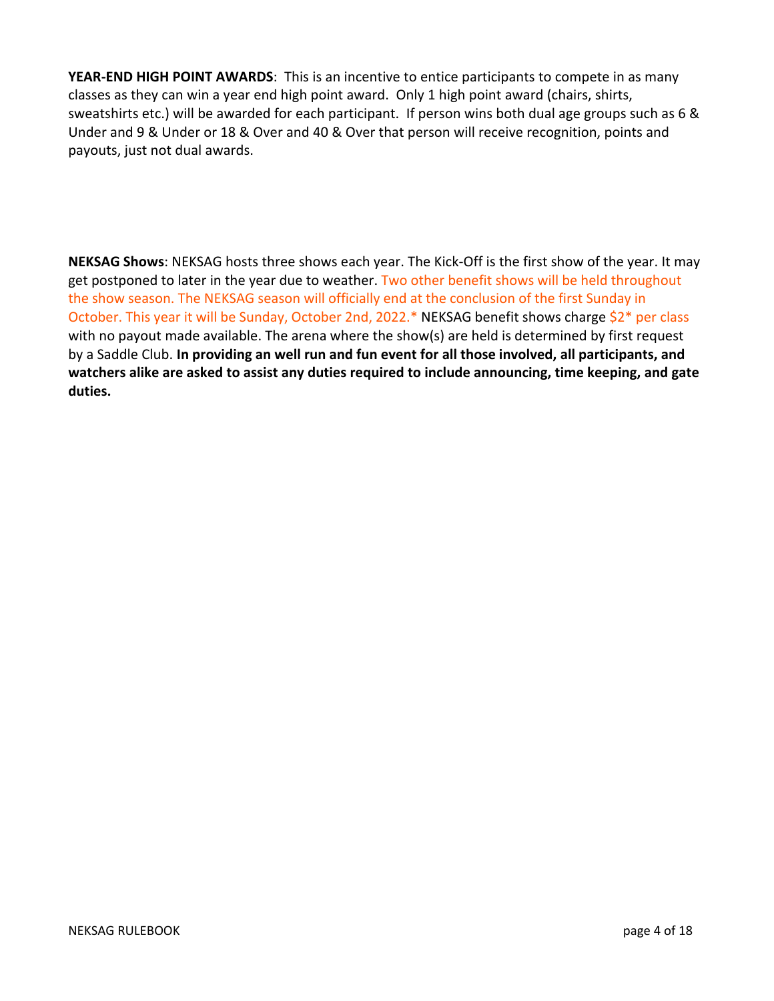**YEAR-END HIGH POINT AWARDS**: This is an incentive to entice participants to compete in as many classes as they can win a year end high point award. Only 1 high point award (chairs, shirts, sweatshirts etc.) will be awarded for each participant. If person wins both dual age groups such as 6 & Under and 9 & Under or 18 & Over and 40 & Over that person will receive recognition, points and payouts, just not dual awards.

**NEKSAG Shows**: NEKSAG hosts three shows each year. The Kick-Off is the first show of the year. It may get postponed to later in the year due to weather. Two other benefit shows will be held throughout the show season. The NEKSAG season will officially end at the conclusion of the first Sunday in October. This year it will be Sunday, October 2nd, 2022.\* NEKSAG benefit shows charge \$2\* per class with no payout made available. The arena where the show(s) are held is determined by first request by a Saddle Club. **In providing an well run and fun event for all those involved, all participants, and watchers alike are asked to assist any duties required to include announcing, time keeping, and gate duties.**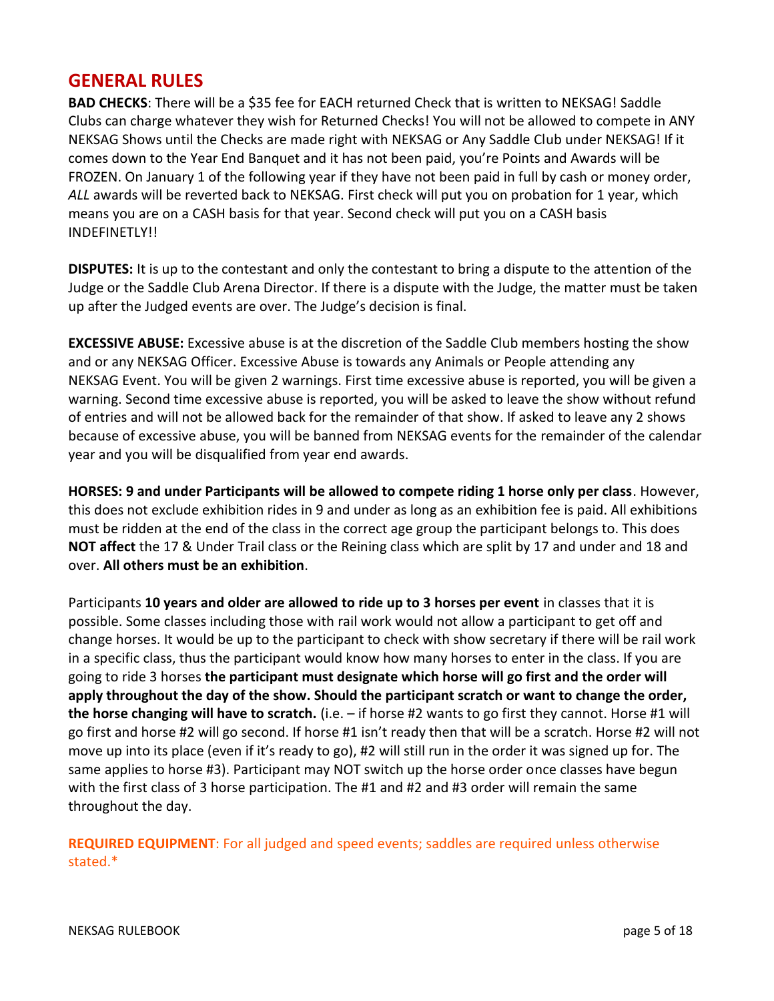## <span id="page-4-0"></span>**GENERAL RULES**

**BAD CHECKS**: There will be a \$35 fee for EACH returned Check that is written to NEKSAG! Saddle Clubs can charge whatever they wish for Returned Checks! You will not be allowed to compete in ANY NEKSAG Shows until the Checks are made right with NEKSAG or Any Saddle Club under NEKSAG! If it comes down to the Year End Banquet and it has not been paid, you're Points and Awards will be FROZEN. On January 1 of the following year if they have not been paid in full by cash or money order, *ALL* awards will be reverted back to NEKSAG. First check will put you on probation for 1 year, which means you are on a CASH basis for that year. Second check will put you on a CASH basis INDEFINETLY!!

**DISPUTES:** It is up to the contestant and only the contestant to bring a dispute to the attention of the Judge or the Saddle Club Arena Director. If there is a dispute with the Judge, the matter must be taken up after the Judged events are over. The Judge's decision is final.

**EXCESSIVE ABUSE:** Excessive abuse is at the discretion of the Saddle Club members hosting the show and or any NEKSAG Officer. Excessive Abuse is towards any Animals or People attending any NEKSAG Event. You will be given 2 warnings. First time excessive abuse is reported, you will be given a warning. Second time excessive abuse is reported, you will be asked to leave the show without refund of entries and will not be allowed back for the remainder of that show. If asked to leave any 2 shows because of excessive abuse, you will be banned from NEKSAG events for the remainder of the calendar year and you will be disqualified from year end awards.

**HORSES: 9 and under Participants will be allowed to compete riding 1 horse only per class**. However, this does not exclude exhibition rides in 9 and under as long as an exhibition fee is paid. All exhibitions must be ridden at the end of the class in the correct age group the participant belongs to. This does **NOT affect** the 17 & Under Trail class or the Reining class which are split by 17 and under and 18 and over. **All others must be an exhibition**.

Participants **10 years and older are allowed to ride up to 3 horses per event** in classes that it is possible. Some classes including those with rail work would not allow a participant to get off and change horses. It would be up to the participant to check with show secretary if there will be rail work in a specific class, thus the participant would know how many horses to enter in the class. If you are going to ride 3 horses **the participant must designate which horse will go first and the order will apply throughout the day of the show. Should the participant scratch or want to change the order, the horse changing will have to scratch.** (i.e. – if horse #2 wants to go first they cannot. Horse #1 will go first and horse #2 will go second. If horse #1 isn't ready then that will be a scratch. Horse #2 will not move up into its place (even if it's ready to go), #2 will still run in the order it was signed up for. The same applies to horse #3). Participant may NOT switch up the horse order once classes have begun with the first class of 3 horse participation. The #1 and #2 and #3 order will remain the same throughout the day.

**REQUIRED EQUIPMENT**: For all judged and speed events; saddles are required unless otherwise stated.\*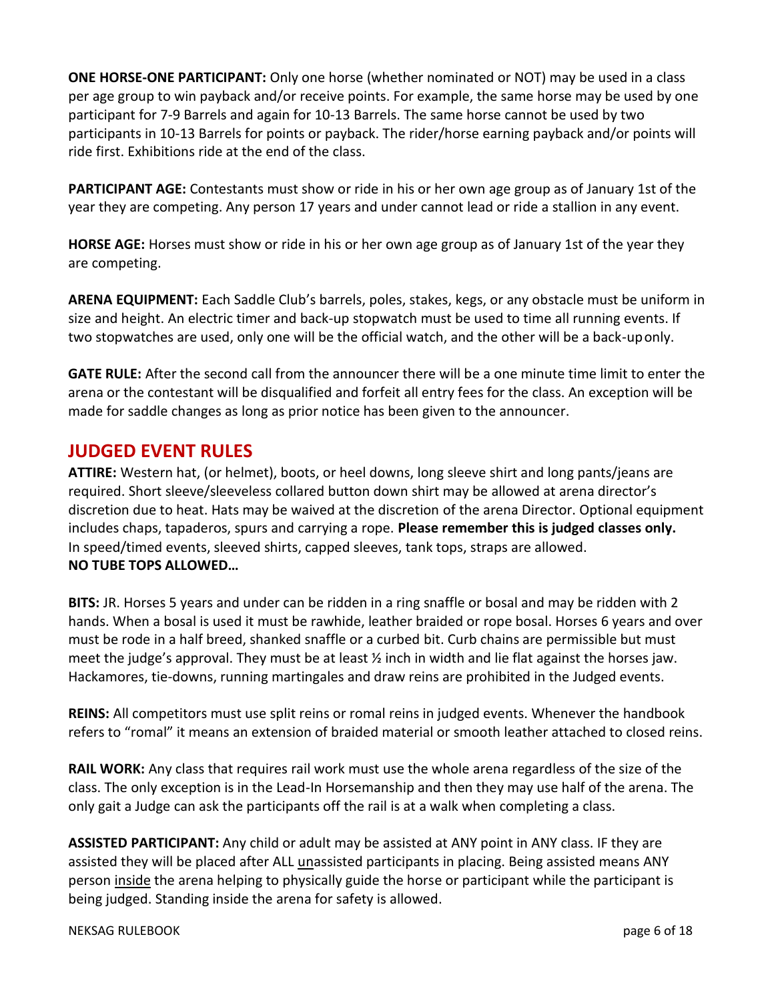**ONE HORSE-ONE PARTICIPANT:** Only one horse (whether nominated or NOT) may be used in a class per age group to win payback and/or receive points. For example, the same horse may be used by one participant for 7-9 Barrels and again for 10-13 Barrels. The same horse cannot be used by two participants in 10-13 Barrels for points or payback. The rider/horse earning payback and/or points will ride first. Exhibitions ride at the end of the class.

**PARTICIPANT AGE:** Contestants must show or ride in his or her own age group as of January 1st of the year they are competing. Any person 17 years and under cannot lead or ride a stallion in any event.

**HORSE AGE:** Horses must show or ride in his or her own age group as of January 1st of the year they are competing.

**ARENA EQUIPMENT:** Each Saddle Club's barrels, poles, stakes, kegs, or any obstacle must be uniform in size and height. An electric timer and back-up stopwatch must be used to time all running events. If two stopwatches are used, only one will be the official watch, and the other will be a back-uponly.

**GATE RULE:** After the second call from the announcer there will be a one minute time limit to enter the arena or the contestant will be disqualified and forfeit all entry fees for the class. An exception will be made for saddle changes as long as prior notice has been given to the announcer.

## <span id="page-5-0"></span>**JUDGED EVENT RULES**

**ATTIRE:** Western hat, (or helmet), boots, or heel downs, long sleeve shirt and long pants/jeans are required. Short sleeve/sleeveless collared button down shirt may be allowed at arena director's discretion due to heat. Hats may be waived at the discretion of the arena Director. Optional equipment includes chaps, tapaderos, spurs and carrying a rope. **Please remember this is judged classes only.** In speed/timed events, sleeved shirts, capped sleeves, tank tops, straps are allowed. **NO TUBE TOPS ALLOWED…**

**BITS:** JR. Horses 5 years and under can be ridden in a ring snaffle or bosal and may be ridden with 2 hands. When a bosal is used it must be rawhide, leather braided or rope bosal. Horses 6 years and over must be rode in a half breed, shanked snaffle or a curbed bit. Curb chains are permissible but must meet the judge's approval. They must be at least  $\frac{1}{2}$  inch in width and lie flat against the horses jaw. Hackamores, tie-downs, running martingales and draw reins are prohibited in the Judged events.

**REINS:** All competitors must use split reins or romal reins in judged events. Whenever the handbook refers to "romal" it means an extension of braided material or smooth leather attached to closed reins.

**RAIL WORK:** Any class that requires rail work must use the whole arena regardless of the size of the class. The only exception is in the Lead-In Horsemanship and then they may use half of the arena. The only gait a Judge can ask the participants off the rail is at a walk when completing a class.

**ASSISTED PARTICIPANT:** Any child or adult may be assisted at ANY point in ANY class. IF they are assisted they will be placed after ALL unassisted participants in placing. Being assisted means ANY person inside the arena helping to physically guide the horse or participant while the participant is being judged. Standing inside the arena for safety is allowed.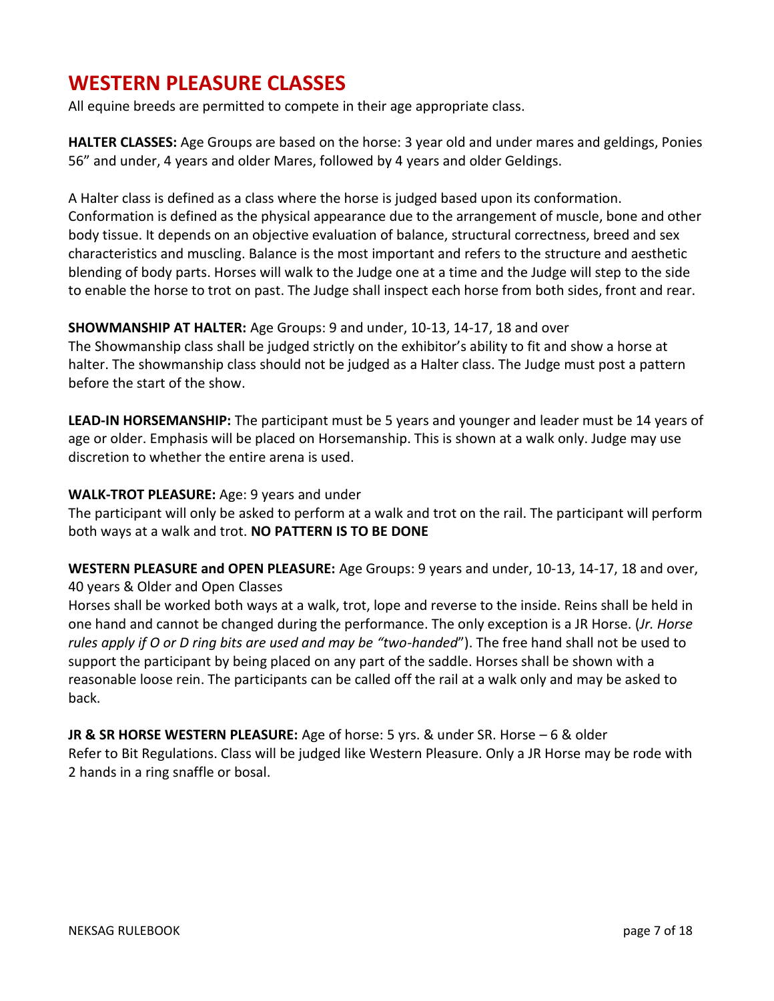## <span id="page-6-0"></span>**WESTERN PLEASURE CLASSES**

All equine breeds are permitted to compete in their age appropriate class.

**HALTER CLASSES:** Age Groups are based on the horse: 3 year old and under mares and geldings, Ponies 56" and under, 4 years and older Mares, followed by 4 years and older Geldings.

A Halter class is defined as a class where the horse is judged based upon its conformation. Conformation is defined as the physical appearance due to the arrangement of muscle, bone and other body tissue. It depends on an objective evaluation of balance, structural correctness, breed and sex characteristics and muscling. Balance is the most important and refers to the structure and aesthetic blending of body parts. Horses will walk to the Judge one at a time and the Judge will step to the side to enable the horse to trot on past. The Judge shall inspect each horse from both sides, front and rear.

**SHOWMANSHIP AT HALTER:** Age Groups: 9 and under, 10-13, 14-17, 18 and over The Showmanship class shall be judged strictly on the exhibitor's ability to fit and show a horse at halter. The showmanship class should not be judged as a Halter class. The Judge must post a pattern before the start of the show.

**LEAD-IN HORSEMANSHIP:** The participant must be 5 years and younger and leader must be 14 years of age or older. Emphasis will be placed on Horsemanship. This is shown at a walk only. Judge may use discretion to whether the entire arena is used.

#### **WALK-TROT PLEASURE:** Age: 9 years and under

The participant will only be asked to perform at a walk and trot on the rail. The participant will perform both ways at a walk and trot. **NO PATTERN IS TO BE DONE**

**WESTERN PLEASURE and OPEN PLEASURE:** Age Groups: 9 years and under, 10-13, 14-17, 18 and over, 40 years & Older and Open Classes

Horses shall be worked both ways at a walk, trot, lope and reverse to the inside. Reins shall be held in one hand and cannot be changed during the performance. The only exception is a JR Horse. (*Jr. Horse rules apply if O or D ring bits are used and may be "two-handed*"). The free hand shall not be used to support the participant by being placed on any part of the saddle. Horses shall be shown with a reasonable loose rein. The participants can be called off the rail at a walk only and may be asked to back.

**JR & SR HORSE WESTERN PLEASURE:** Age of horse: 5 yrs. & under SR. Horse – 6 & older Refer to Bit Regulations. Class will be judged like Western Pleasure. Only a JR Horse may be rode with 2 hands in a ring snaffle or bosal.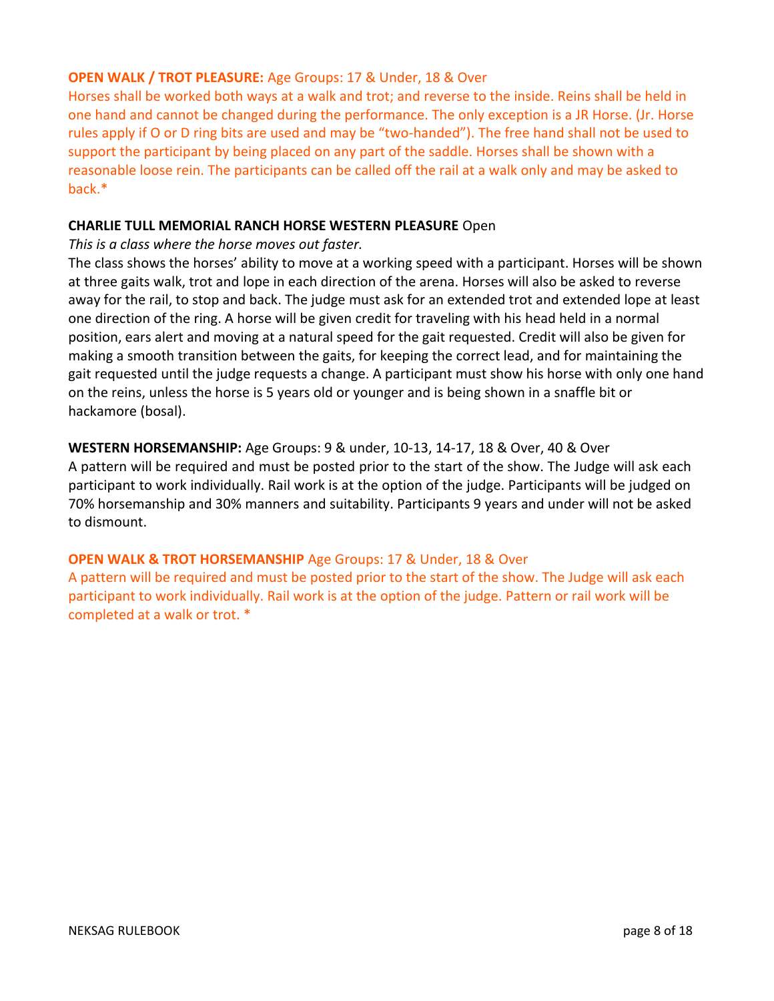#### **OPEN WALK / TROT PLEASURE:** Age Groups: 17 & Under, 18 & Over

Horses shall be worked both ways at a walk and trot; and reverse to the inside. Reins shall be held in one hand and cannot be changed during the performance. The only exception is a JR Horse. (Jr. Horse rules apply if O or D ring bits are used and may be "two-handed"). The free hand shall not be used to support the participant by being placed on any part of the saddle. Horses shall be shown with a reasonable loose rein. The participants can be called off the rail at a walk only and may be asked to back.\*

#### **CHARLIE TULL MEMORIAL RANCH HORSE WESTERN PLEASURE** Open

*This is a class where the horse moves out faster.* 

The class shows the horses' ability to move at a working speed with a participant. Horses will be shown at three gaits walk, trot and lope in each direction of the arena. Horses will also be asked to reverse away for the rail, to stop and back. The judge must ask for an extended trot and extended lope at least one direction of the ring. A horse will be given credit for traveling with his head held in a normal position, ears alert and moving at a natural speed for the gait requested. Credit will also be given for making a smooth transition between the gaits, for keeping the correct lead, and for maintaining the gait requested until the judge requests a change. A participant must show his horse with only one hand on the reins, unless the horse is 5 years old or younger and is being shown in a snaffle bit or hackamore (bosal).

**WESTERN HORSEMANSHIP:** Age Groups: 9 & under, 10-13, 14-17, 18 & Over, 40 & Over A pattern will be required and must be posted prior to the start of the show. The Judge will ask each participant to work individually. Rail work is at the option of the judge. Participants will be judged on 70% horsemanship and 30% manners and suitability. Participants 9 years and under will not be asked to dismount.

#### **OPEN WALK & TROT HORSEMANSHIP** Age Groups: 17 & Under, 18 & Over

A pattern will be required and must be posted prior to the start of the show. The Judge will ask each participant to work individually. Rail work is at the option of the judge. Pattern or rail work will be completed at a walk or trot. \*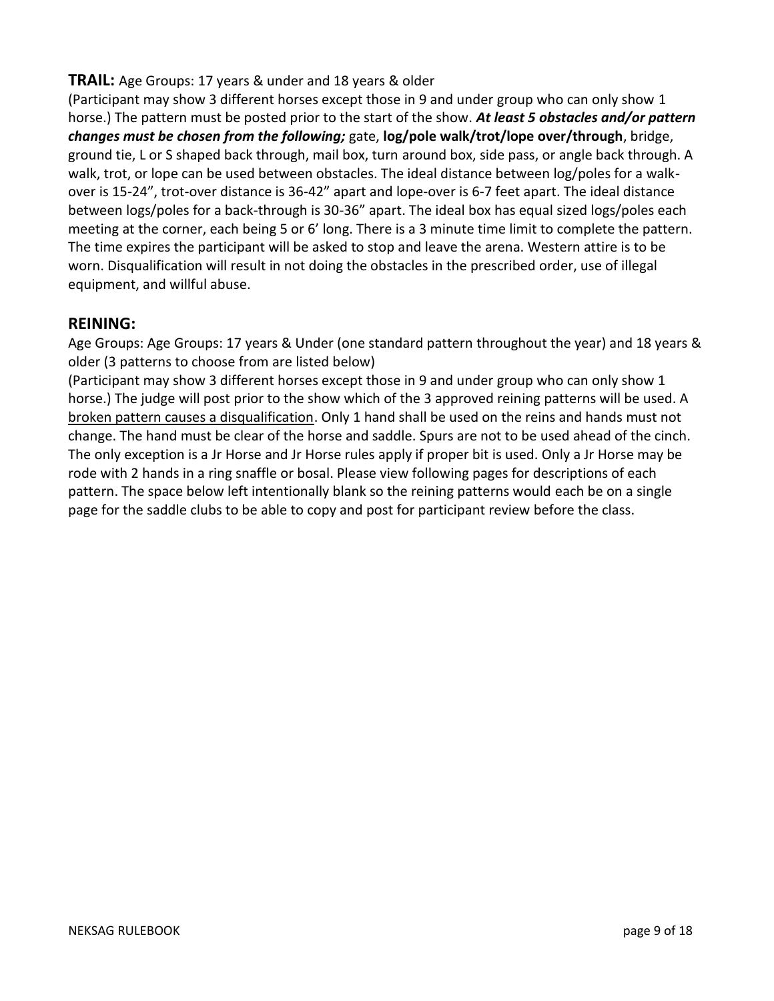## <span id="page-8-0"></span>**TRAIL:** Age Groups: 17 years & under and 18 years & older

(Participant may show 3 different horses except those in 9 and under group who can only show 1 horse.) The pattern must be posted prior to the start of the show. *At least 5 obstacles and/or pattern changes must be chosen from the following;* gate, **log/pole walk/trot/lope over/through**, bridge, ground tie, L or S shaped back through, mail box, turn around box, side pass, or angle back through. A walk, trot, or lope can be used between obstacles. The ideal distance between log/poles for a walkover is 15-24", trot-over distance is 36-42" apart and lope-over is 6-7 feet apart. The ideal distance between logs/poles for a back-through is 30-36" apart. The ideal box has equal sized logs/poles each meeting at the corner, each being 5 or 6' long. There is a 3 minute time limit to complete the pattern. The time expires the participant will be asked to stop and leave the arena. Western attire is to be worn. Disqualification will result in not doing the obstacles in the prescribed order, use of illegal equipment, and willful abuse.

### **REINING:**

Age Groups: Age Groups: 17 years & Under (one standard pattern throughout the year) and 18 years & older (3 patterns to choose from are listed below)

(Participant may show 3 different horses except those in 9 and under group who can only show 1 horse.) The judge will post prior to the show which of the 3 approved reining patterns will be used. A broken pattern causes a disqualification. Only 1 hand shall be used on the reins and hands must not change. The hand must be clear of the horse and saddle. Spurs are not to be used ahead of the cinch. The only exception is a Jr Horse and Jr Horse rules apply if proper bit is used. Only a Jr Horse may be rode with 2 hands in a ring snaffle or bosal. Please view following pages for descriptions of each pattern. The space below left intentionally blank so the reining patterns would each be on a single page for the saddle clubs to be able to copy and post for participant review before the class.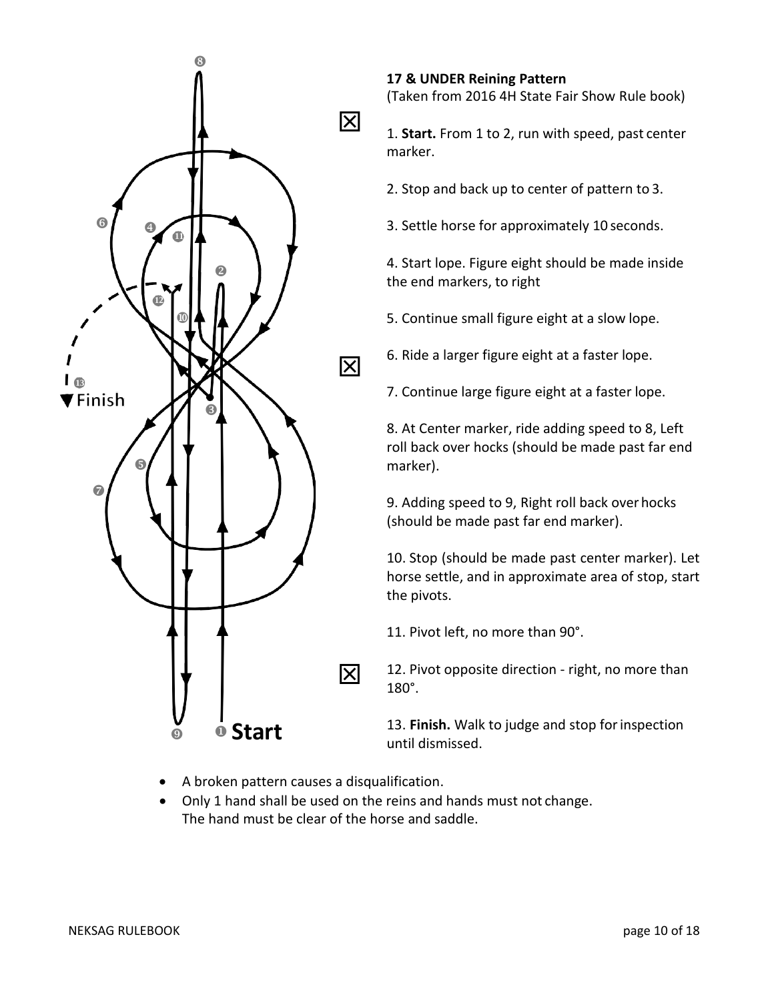

## **17 & UNDER Reining Pattern** (Taken from 2016 4H State Fair Show Rule book)

**1. Start.** From 1 to 2, run with speed, past center marker.

2. Stop and back up to center of pattern to 3.

3. Settle horse for approximately 10 seconds.

4. Start lope. Figure eight should be made inside the end markers, to right

5. Continue small figure eight at a slow lope.

6. Ride a larger figure eight at a faster lope.

7. Continue large figure eight at a faster lope.

8. At Center marker, ride adding speed to 8, Left roll back over hocks (should be made past far end marker).

9. Adding speed to 9, Right roll back over hocks (should be made past far end marker).

10. Stop (should be made past center marker). Let horse settle, and in approximate area of stop, start the pivots.

11. Pivot left, no more than 90°.

12. Pivot opposite direction - right, no more than 180°.

13. **Finish.** Walk to judge and stop forinspection until dismissed.

- A broken pattern causes a disqualification.
- Only 1 hand shall be used on the reins and hands must not change. The hand must be clear of the horse and saddle.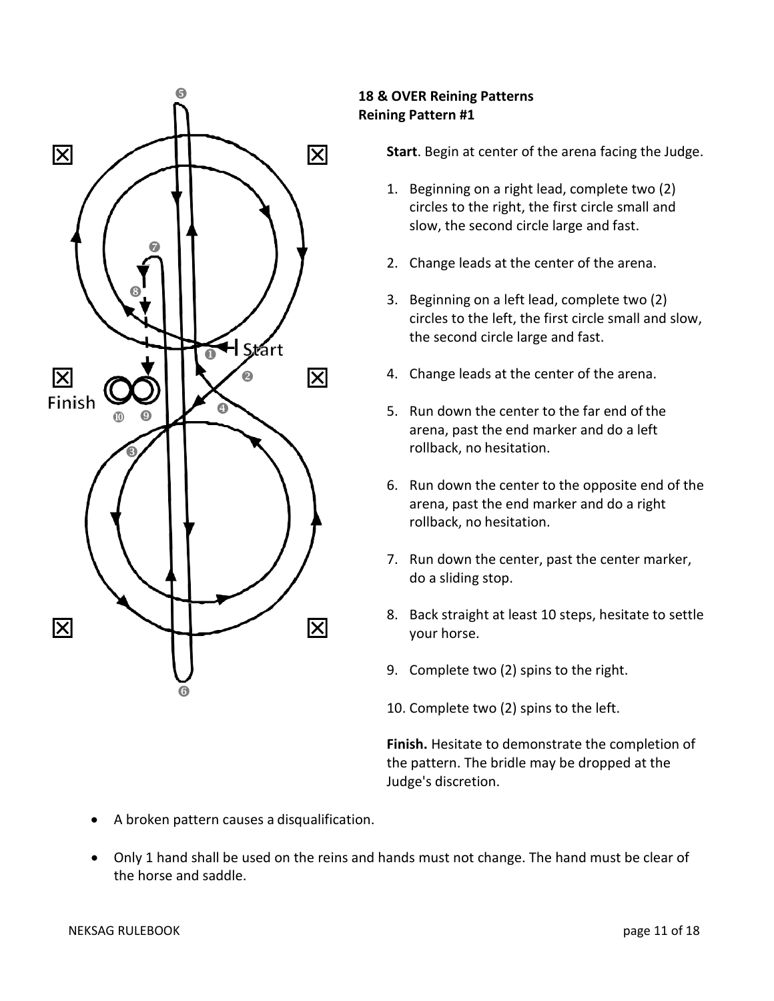

## **18 & OVER Reining Patterns Reining Pattern #1**

**Start**. Begin at center of the arena facing the Judge.

- 1. Beginning on a right lead, complete two (2) circles to the right, the first circle small and slow, the second circle large and fast.
- 2. Change leads at the center of the arena.
- 3. Beginning on a left lead, complete two (2) circles to the left, the first circle small and slow, the second circle large and fast.
- 4. Change leads at the center of the arena.
- 5. Run down the center to the far end ofthe arena, past the end marker and do a left rollback, no hesitation.
- 6. Run down the center to the opposite end of the arena, past the end marker and do a right rollback, no hesitation.
- 7. Run down the center, past the center marker, do a sliding stop.
- 8. Back straight at least 10 steps, hesitate to settle your horse.
- 9. Complete two (2) spins to the right.
- 10. Complete two (2) spins to the left.

**Finish.** Hesitate to demonstrate the completion of the pattern. The bridle may be dropped at the Judge's discretion.

- A broken pattern causes a disqualification.
- Only 1 hand shall be used on the reins and hands must not change. The hand must be clear of the horse and saddle.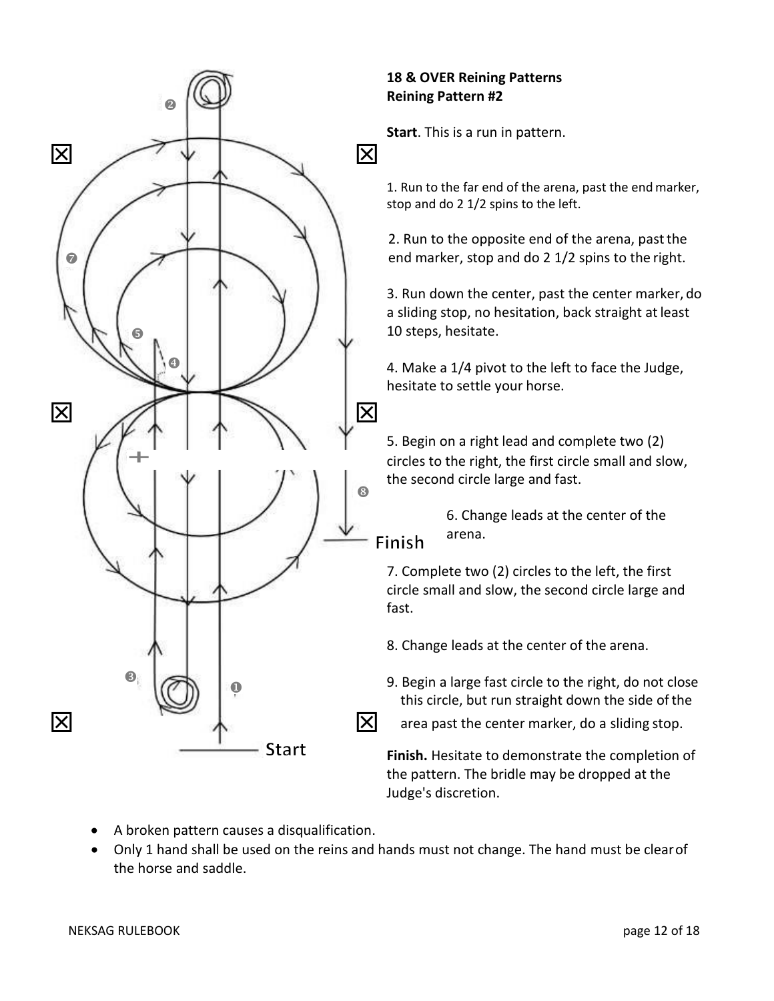

## **18 & OVER Reining Patterns Reining Pattern #2**

**Start**. This is a run in pattern.

1. Run to the far end of the arena, past the endmarker, stop and do 2 1/2 spins to the left.

2. Run to the opposite end of the arena, pastthe

3. Run down the center, past the center marker, do a sliding stop, no hesitation, back straight at least 10 steps, hesitate.

 4. Make a 1/4 pivot to the left to face the Judge, hesitate to settle your horse.

5. Begin on a right lead and complete two (2) circles to the right, the first circle small and slow, the second circle large and fast.

> 6. Change leads at the center of the arena.

7. Complete two (2) circles to the left, the first circle small and slow, the second circle large and fast.

- 8. Change leads at the center of the arena.
- 9. Begin a large fast circle to the right, do not close this circle, but run straight down the side of the
	-

**Finish.** Hesitate to demonstrate the completion of the pattern. The bridle may be dropped at the Judge's discretion.

- A broken pattern causes a disqualification.
- Only 1 hand shall be used on the reins and hands must not change. The hand must be clearof the horse and saddle.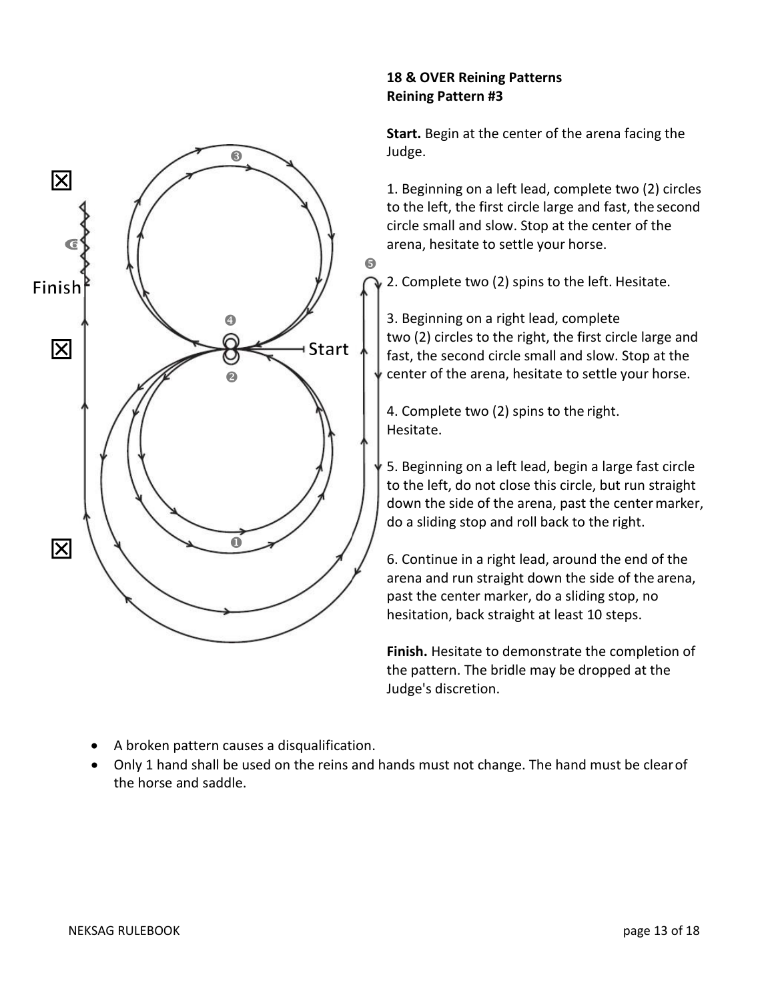

## **18 & OVER Reining Patterns Reining Pattern #3**

**Start.** Begin at the center of the arena facing the Judge.

1. Beginning on a left lead, complete two (2) circles to the left, the first circle large and fast, the second circle small and slow. Stop at the center of the arena, hesitate to settle your horse.

2. Complete two (2) spins to the left. Hesitate.

3. Beginning on a right lead, complete two (2) circles to the right, the first circle large and fast, the second circle small and slow. Stop at the center of the arena, hesitate to settle your horse.

4. Complete two (2) spins to the right. Hesitate.

5. Beginning on a left lead, begin a large fast circle to the left, do not close this circle, but run straight down the side of the arena, past the centermarker, do a sliding stop and roll back to the right.

6. Continue in a right lead, around the end of the arena and run straight down the side of the arena, past the center marker, do a sliding stop, no hesitation, back straight at least 10 steps.

**Finish.** Hesitate to demonstrate the completion of the pattern. The bridle may be dropped at the Judge's discretion.

- A broken pattern causes a disqualification.
- Only 1 hand shall be used on the reins and hands must not change. The hand must be clearof the horse and saddle.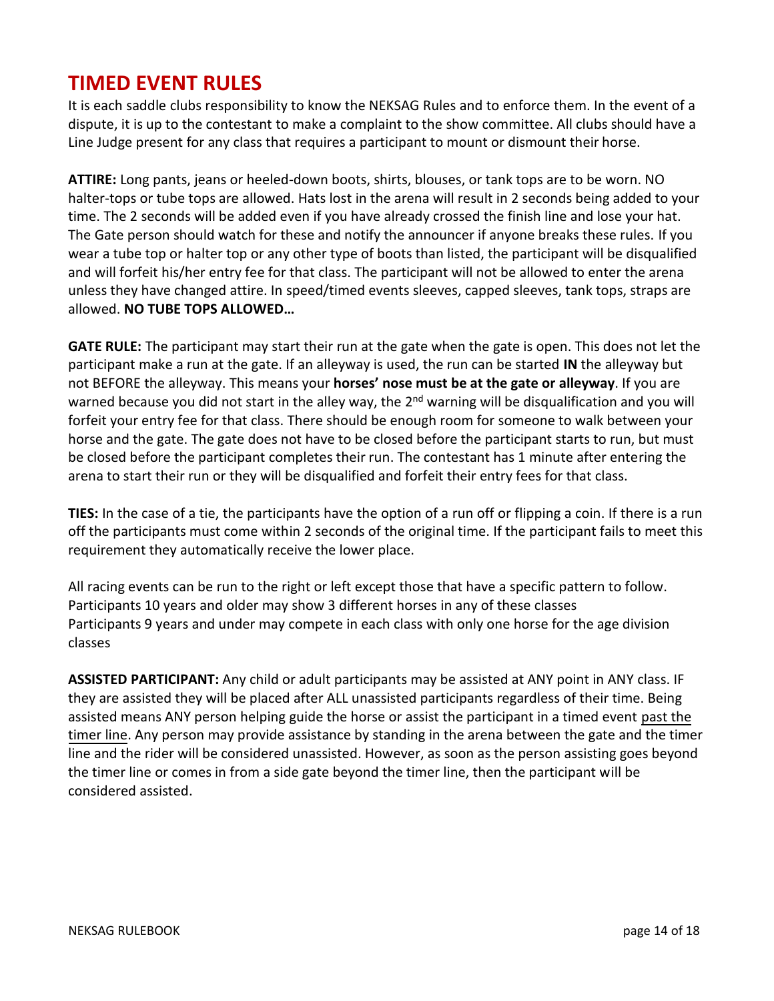## <span id="page-13-0"></span>**TIMED EVENT RULES**

It is each saddle clubs responsibility to know the NEKSAG Rules and to enforce them. In the event of a dispute, it is up to the contestant to make a complaint to the show committee. All clubs should have a Line Judge present for any class that requires a participant to mount or dismount their horse.

**ATTIRE:** Long pants, jeans or heeled-down boots, shirts, blouses, or tank tops are to be worn. NO halter-tops or tube tops are allowed. Hats lost in the arena will result in 2 seconds being added to your time. The 2 seconds will be added even if you have already crossed the finish line and lose your hat. The Gate person should watch for these and notify the announcer if anyone breaks these rules. If you wear a tube top or halter top or any other type of boots than listed, the participant will be disqualified and will forfeit his/her entry fee for that class. The participant will not be allowed to enter the arena unless they have changed attire. In speed/timed events sleeves, capped sleeves, tank tops, straps are allowed. **NO TUBE TOPS ALLOWED…**

**GATE RULE:** The participant may start their run at the gate when the gate is open. This does not let the participant make a run at the gate. If an alleyway is used, the run can be started **IN** the alleyway but not BEFORE the alleyway. This means your **horses' nose must be at the gate or alleyway**. If you are warned because you did not start in the alley way, the 2<sup>nd</sup> warning will be disqualification and you will forfeit your entry fee for that class. There should be enough room for someone to walk between your horse and the gate. The gate does not have to be closed before the participant starts to run, but must be closed before the participant completes their run. The contestant has 1 minute after entering the arena to start their run or they will be disqualified and forfeit their entry fees for that class.

**TIES:** In the case of a tie, the participants have the option of a run off or flipping a coin. If there is a run off the participants must come within 2 seconds of the original time. If the participant fails to meet this requirement they automatically receive the lower place.

All racing events can be run to the right or left except those that have a specific pattern to follow. Participants 10 years and older may show 3 different horses in any of these classes Participants 9 years and under may compete in each class with only one horse for the age division classes

**ASSISTED PARTICIPANT:** Any child or adult participants may be assisted at ANY point in ANY class. IF they are assisted they will be placed after ALL unassisted participants regardless of their time. Being assisted means ANY person helping guide the horse or assist the participant in a timed event past the timer line. Any person may provide assistance by standing in the arena between the gate and the timer line and the rider will be considered unassisted. However, as soon as the person assisting goes beyond the timer line or comes in from a side gate beyond the timer line, then the participant will be considered assisted.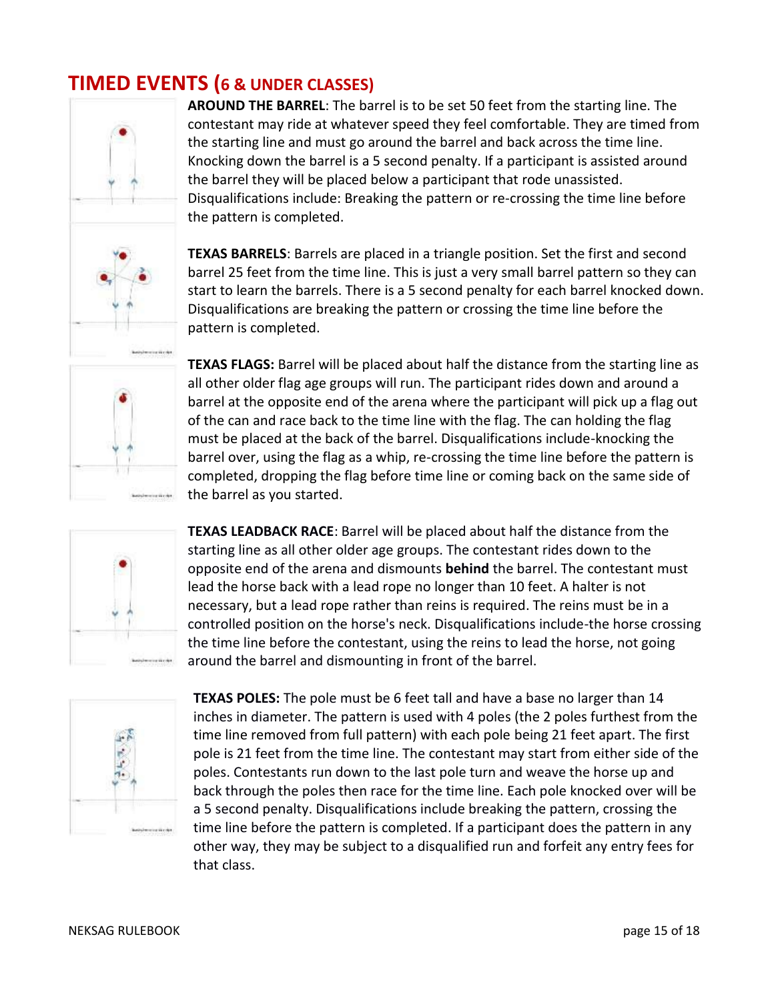## <span id="page-14-0"></span>**TIMED EVENTS (6 & UNDER CLASSES)**



**AROUND THE BARREL**: The barrel is to be set 50 feet from the starting line. The contestant may ride at whatever speed they feel comfortable. They are timed from the starting line and must go around the barrel and back across the time line. Knocking down the barrel is a 5 second penalty. If a participant is assisted around the barrel they will be placed below a participant that rode unassisted. Disqualifications include: Breaking the pattern or re-crossing the time line before the pattern is completed.

**TEXAS BARRELS**: Barrels are placed in a triangle position. Set the first and second barrel 25 feet from the time line. This is just a very small barrel pattern so they can start to learn the barrels. There is a 5 second penalty for each barrel knocked down. Disqualifications are breaking the pattern or crossing the time line before the pattern is completed.



**TEXAS FLAGS:** Barrel will be placed about half the distance from the starting line as all other older flag age groups will run. The participant rides down and around a barrel at the opposite end of the arena where the participant will pick up a flag out of the can and race back to the time line with the flag. The can holding the flag must be placed at the back of the barrel. Disqualifications include-knocking the barrel over, using the flag as a whip, re-crossing the time line before the pattern is completed, dropping the flag before time line or coming back on the same side of the barrel as you started.



**TEXAS LEADBACK RACE**: Barrel will be placed about half the distance from the starting line as all other older age groups. The contestant rides down to the opposite end of the arena and dismounts **behind** the barrel. The contestant must lead the horse back with a lead rope no longer than 10 feet. A halter is not necessary, but a lead rope rather than reins is required. The reins must be in a controlled position on the horse's neck. Disqualifications include-the horse crossing the time line before the contestant, using the reins to lead the horse, not going around the barrel and dismounting in front of the barrel.



**TEXAS POLES:** The pole must be 6 feet tall and have a base no larger than 14 inches in diameter. The pattern is used with 4 poles (the 2 poles furthest from the time line removed from full pattern) with each pole being 21 feet apart. The first pole is 21 feet from the time line. The contestant may start from either side of the poles. Contestants run down to the last pole turn and weave the horse up and back through the poles then race for the time line. Each pole knocked over will be a 5 second penalty. Disqualifications include breaking the pattern, crossing the time line before the pattern is completed. If a participant does the pattern in any other way, they may be subject to a disqualified run and forfeit any entry fees for that class.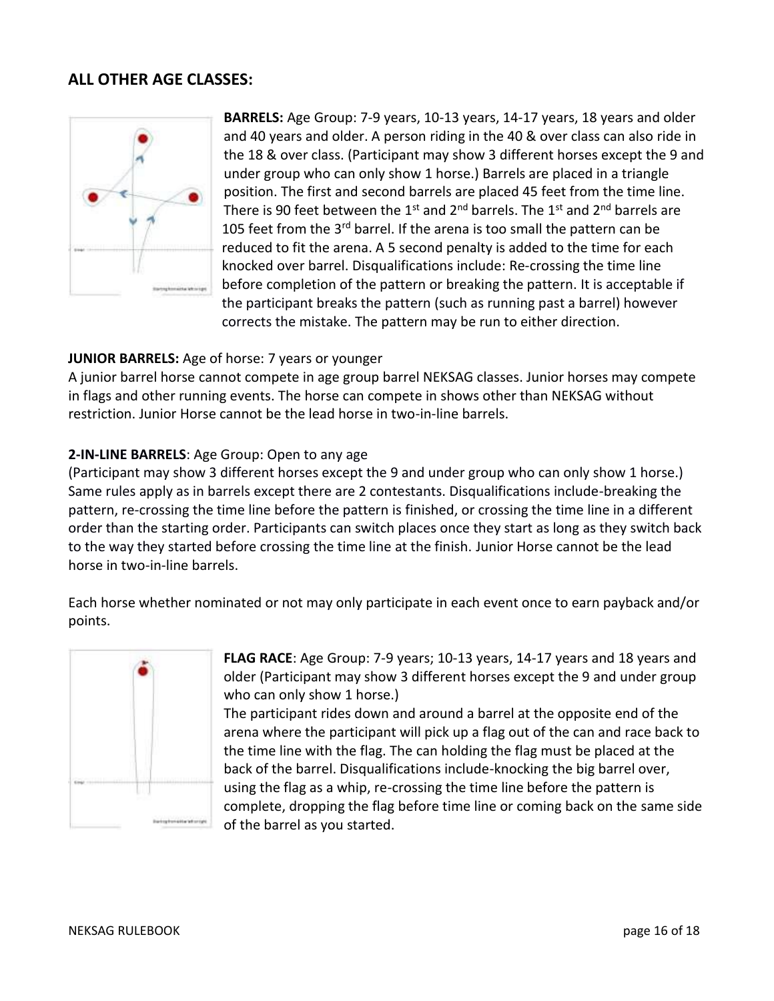## **ALL OTHER AGE CLASSES:**



**BARRELS:** Age Group: 7-9 years, 10-13 years, 14-17 years, 18 years and older and 40 years and older. A person riding in the 40 & over class can also ride in the 18 & over class. (Participant may show 3 different horses except the 9 and under group who can only show 1 horse.) Barrels are placed in a triangle position. The first and second barrels are placed 45 feet from the time line. There is 90 feet between the 1<sup>st</sup> and 2<sup>nd</sup> barrels. The 1<sup>st</sup> and 2<sup>nd</sup> barrels are 105 feet from the 3<sup>rd</sup> barrel. If the arena is too small the pattern can be reduced to fit the arena. A 5 second penalty is added to the time for each knocked over barrel. Disqualifications include: Re-crossing the time line before completion of the pattern or breaking the pattern. It is acceptable if the participant breaks the pattern (such as running past a barrel) however corrects the mistake. The pattern may be run to either direction.

#### **JUNIOR BARRELS:** Age of horse: 7 years or younger

A junior barrel horse cannot compete in age group barrel NEKSAG classes. Junior horses may compete in flags and other running events. The horse can compete in shows other than NEKSAG without restriction. Junior Horse cannot be the lead horse in two-in-line barrels.

#### **2-IN-LINE BARRELS**: Age Group: Open to any age

(Participant may show 3 different horses except the 9 and under group who can only show 1 horse.) Same rules apply as in barrels except there are 2 contestants. Disqualifications include-breaking the pattern, re-crossing the time line before the pattern is finished, or crossing the time line in a different order than the starting order. Participants can switch places once they start as long as they switch back to the way they started before crossing the time line at the finish. Junior Horse cannot be the lead horse in two-in-line barrels.

Each horse whether nominated or not may only participate in each event once to earn payback and/or points.



**FLAG RACE**: Age Group: 7-9 years; 10-13 years, 14-17 years and 18 years and older (Participant may show 3 different horses except the 9 and under group who can only show 1 horse.)

The participant rides down and around a barrel at the opposite end of the arena where the participant will pick up a flag out of the can and race back to the time line with the flag. The can holding the flag must be placed at the back of the barrel. Disqualifications include-knocking the big barrel over, using the flag as a whip, re-crossing the time line before the pattern is complete, dropping the flag before time line or coming back on the same side of the barrel as you started.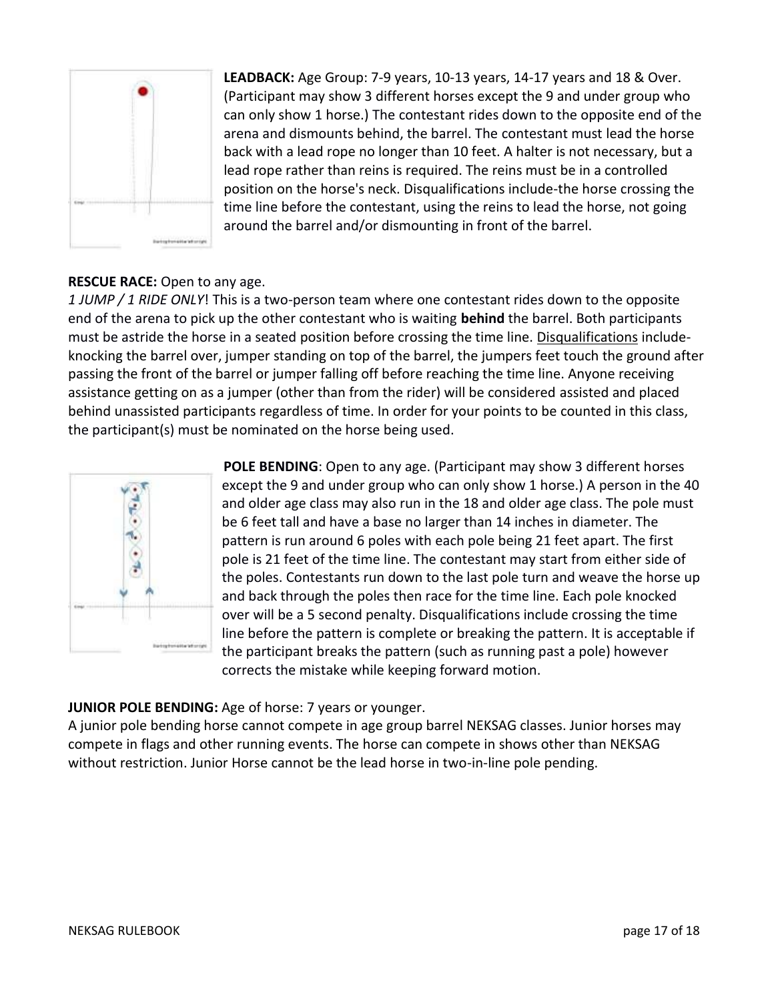

**LEADBACK:** Age Group: 7-9 years, 10-13 years, 14-17 years and 18 & Over. (Participant may show 3 different horses except the 9 and under group who can only show 1 horse.) The contestant rides down to the opposite end of the arena and dismounts behind, the barrel. The contestant must lead the horse back with a lead rope no longer than 10 feet. A halter is not necessary, but a lead rope rather than reins is required. The reins must be in a controlled position on the horse's neck. Disqualifications include-the horse crossing the time line before the contestant, using the reins to lead the horse, not going around the barrel and/or dismounting in front of the barrel.

### **RESCUE RACE:** Open to any age.

*1 JUMP / 1 RIDE ONLY*! This is a two-person team where one contestant rides down to the opposite end of the arena to pick up the other contestant who is waiting **behind** the barrel. Both participants must be astride the horse in a seated position before crossing the time line. Disqualifications includeknocking the barrel over, jumper standing on top of the barrel, the jumpers feet touch the ground after passing the front of the barrel or jumper falling off before reaching the time line. Anyone receiving assistance getting on as a jumper (other than from the rider) will be considered assisted and placed behind unassisted participants regardless of time. In order for your points to be counted in this class, the participant(s) must be nominated on the horse being used.



**POLE BENDING**: Open to any age. (Participant may show 3 different horses except the 9 and under group who can only show 1 horse.) A person in the 40 and older age class may also run in the 18 and older age class. The pole must be 6 feet tall and have a base no larger than 14 inches in diameter. The pattern is run around 6 poles with each pole being 21 feet apart. The first pole is 21 feet of the time line. The contestant may start from either side of the poles. Contestants run down to the last pole turn and weave the horse up and back through the poles then race for the time line. Each pole knocked over will be a 5 second penalty. Disqualifications include crossing the time line before the pattern is complete or breaking the pattern. It is acceptable if the participant breaks the pattern (such as running past a pole) however corrects the mistake while keeping forward motion.

#### **JUNIOR POLE BENDING:** Age of horse: 7 years or younger.

A junior pole bending horse cannot compete in age group barrel NEKSAG classes. Junior horses may compete in flags and other running events. The horse can compete in shows other than NEKSAG without restriction. Junior Horse cannot be the lead horse in two-in-line pole pending.